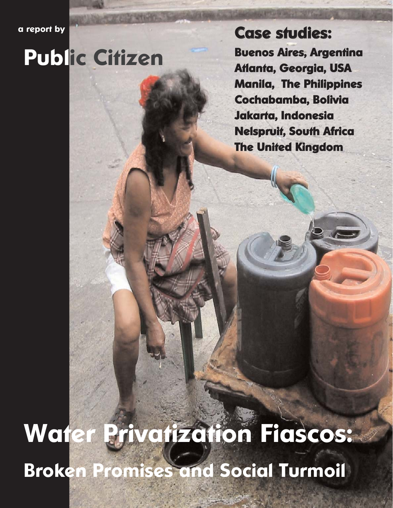**a report by** 

# **Public Citizen**

**Case studies:**

**Buenos Aires, Argentina Atlanta, Georgia, USA Manila, The Philippines Cochabamba, Bolivia Jakarta, Indonesia Nelspruit, South Africa The United Kingdom**

# **Water Privatization Fiascos: Broken Promises and Social Turmoil**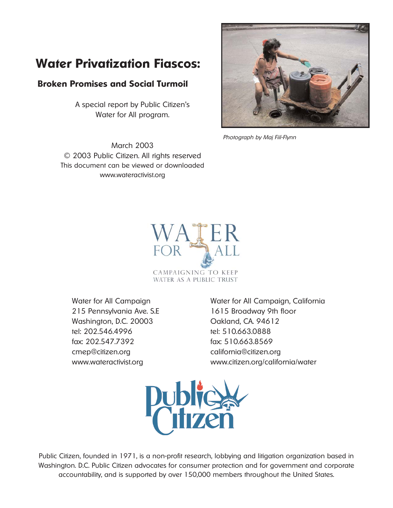### **Water Privatization Fiascos:**

#### **Broken Promises and Social Turmoil**

A special report by Public Citizen's Water for All program.

March 2003 © 2003 Public Citizen. All rights reserved This document can be viewed or downloaded www.wateractivist.org



Photograph by Maj Fiil-Flynn



215 Pennsylvania Ave. S.E 1615 Broadway 9th floor Washington, D.C. 20003 Qakland, CA. 94612 tel: 202.546.4996 tel: 510.663.0888 fax: 202.547.7392 fax: 510.663.8569 cmep@citizen.org california@citizen.org

Water for All Campaign Water for All Campaign, California www.wateractivist.org www.citizen.org/california/water



Public Citizen, founded in 1971, is a non-profit research, lobbying and litigation organization based in Washington. D.C. Public Citizen advocates for consumer protection and for government and corporate accountability, and is supported by over 150,000 members throughout the United States.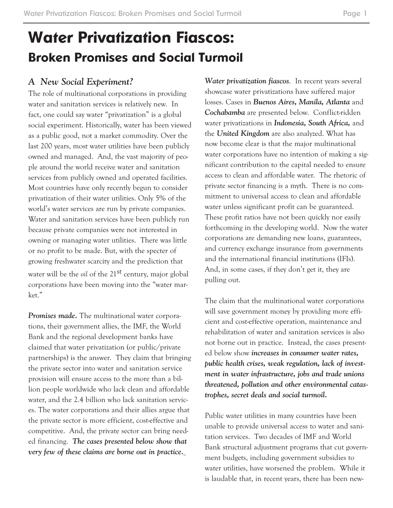# **Water Privatization Fiascos: Broken Promises and Social Turmoil**

#### *A New Social Experiment?*

The role of multinational corporations in providing water and sanitation services is relatively new. In fact, one could say water "privatization" is a global social experiment. Historically, water has been viewed as a public good, not a market commodity. Over the last 200 years, most water utilities have been publicly owned and managed. And, the vast majority of people around the world receive water and sanitation services from publicly owned and operated facilities. Most countries have only recently begun to consider privatization of their water utilities. Only 5% of the world's water services are run by private companies. Water and sanitation services have been publicly run because private companies were not interested in owning or managing water utilities. There was little or no profit to be made. But, with the specter of growing freshwater scarcity and the prediction that water will be the *oil* of the 21<sup>st</sup> century, major global corporations have been moving into the "water market."

*Promises made.* The multinational water corporations, their government allies, the IMF, the World Bank and the regional development banks have claimed that water privatization (or public/private partnerships) is the answer. They claim that bringing the private sector into water and sanitation service provision will ensure access to the more than a billion people worldwide who lack clean and affordable water, and the 2.4 billion who lack sanitation services. The water corporations and their allies argue that the private sector is more efficient, cost-effective and competitive. And, the private sector can bring needed financing. *The cases presented below show that very few of these claims are borne out in practice.*

*Water privatization fiascos*. In recent years several showcase water privatizations have suffered major losses. Cases in *Buenos Aires, Manila, Atlanta* and *Cochabamba* are presented below. Conflict-ridden water privatizations in *Indonesia, South Africa,* and the *United Kingdom* are also analyzed. What has now become clear is that the major multinational water corporations have no intention of making a significant contribution to the capital needed to ensure access to clean and affordable water. The rhetoric of private sector financing is a myth. There is no commitment to universal access to clean and affordable water unless significant profit can be guaranteed. These profit ratios have not been quickly nor easily forthcoming in the developing world. Now the water corporations are demanding new loans, guarantees, and currency exchange insurance from governments and the international financial institutions (IFIs). And, in some cases, if they don't get it, they are pulling out.

The claim that the multinational water corporations will save government money by providing more efficient and cost-effective operation, maintenance and rehabilitation of water and sanitation services is also not borne out in practice. Instead, the cases presented below show *increases in consumer water rates, public health crises, weak regulation, lack of investment in water infrastructure, jobs and trade unions threatened, pollution and other environmental catastrophes, secret deals and social turmoil.* 

Public water utilities in many countries have been unable to provide universal access to water and sanitation services. Two decades of IMF and World Bank structural adjustment programs that cut government budgets, including government subsidies to water utilities, have worsened the problem. While it is laudable that, in recent years, there has been new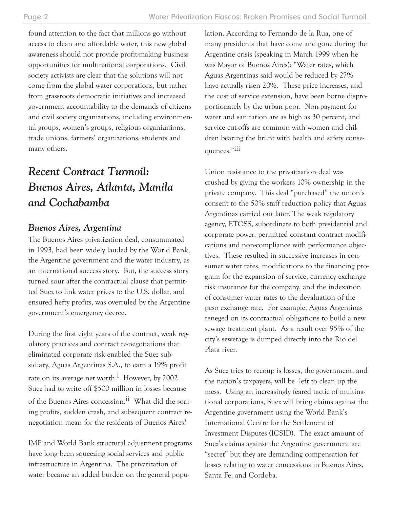found attention to the fact that millions go without access to clean and affordable water, this new global awareness should not provide profit-making business opportunities for multinational corporations. Civil society activists are clear that the solutions will not come from the global water corporations, but rather from grassroots democratic initiatives and increased government accountability to the demands of citizens and civil society organizations, including environmental groups, women's groups, religious organizations, trade unions, farmers' organizations, students and many others.

## *Recent Contract Turmoil: Buenos Aires, Atlanta, Manila and Cochabamba*

#### *Buenos Aires, Argentina*

The Buenos Aires privatization deal, consummated in 1993, had been widely lauded by the World Bank, the Argentine government and the water industry, as an international success story. But, the success story turned sour after the contractual clause that permitted Suez to link water prices to the U.S. dollar, and ensured hefty profits, was overruled by the Argentine government's emergency decree.

During the first eight years of the contract, weak regulatory practices and contract re-negotiations that eliminated corporate risk enabled the Suez subsidiary, Aguas Argentinas S.A., to earn a 19% profit rate on its average net worth.<sup>i</sup> However, by 2002 Suez had to write off \$500 million in losses because of the Buenos Aires concession.<sup>ii</sup> What did the soaring profits, sudden crash, and subsequent contract renegotiation mean for the residents of Buenos Aires?

IMF and World Bank structural adjustment programs have long been squeezing social services and public infrastructure in Argentina. The privatization of water became an added burden on the general population. According to Fernando de la Rua, one of many presidents that have come and gone during the Argentine crisis (speaking in March 1999 when he was Mayor of Buenos Aires): "Water rates, which Aguas Argentinas said would be reduced by 27% have actually risen 20%. These price increases, and the cost of service extension, have been borne disproportionately by the urban poor. Non-payment for water and sanitation are as high as 30 percent, and service cut-offs are common with women and children bearing the brunt with health and safety consequences."iii

Union resistance to the privatization deal was crushed by giving the workers 10% ownership in the private company. This deal "purchased" the union's consent to the 50% staff reduction policy that Aguas Argentinas carried out later. The weak regulatory agency, ETOSS, subordinate to both presidential and corporate power, permitted constant contract modifications and non-compliance with performance objectives. These resulted in successive increases in consumer water rates, modifications to the financing program for the expansion of service, currency exchange risk insurance for the company, and the indexation of consumer water rates to the devaluation of the peso exchange rate. For example, Aguas Argentinas reneged on its contractual obligations to build a new sewage treatment plant. As a result over 95% of the city's sewerage is dumped directly into the Rio del Plata river.

As Suez tries to recoup is losses, the government, and the nation's taxpayers, will be left to clean up the mess. Using an increasingly feared tactic of multinational corporations, Suez will bring claims against the Argentine government using the World Bank's International Centre for the Settlement of Investment Disputes (ICSID). The exact amount of Suez's claims against the Argentine government are "secret" but they are demanding compensation for losses relating to water concessions in Buenos Aires, Santa Fe, and Cordoba.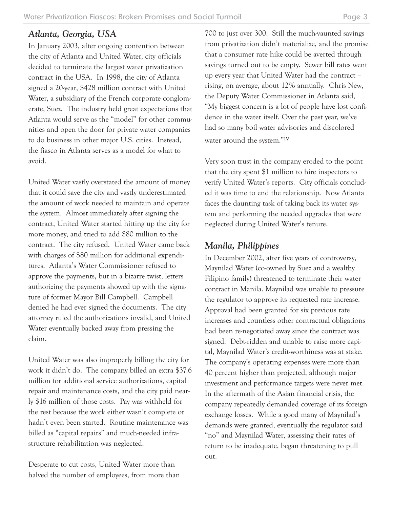#### *Atlanta, Georgia, USA*

In January 2003, after ongoing contention between the city of Atlanta and United Water, city officials decided to terminate the largest water privatization contract in the USA. In 1998, the city of Atlanta signed a 20-year, \$428 million contract with United Water, a subsidiary of the French corporate conglomerate, Suez. The industry held great expectations that Atlanta would serve as the "model" for other communities and open the door for private water companies to do business in other major U.S. cities. Instead, the fiasco in Atlanta serves as a model for what to avoid.

United Water vastly overstated the amount of money that it could save the city and vastly underestimated the amount of work needed to maintain and operate the system. Almost immediately after signing the contract, United Water started hitting up the city for more money, and tried to add \$80 million to the contract. The city refused. United Water came back with charges of \$80 million for additional expenditures. Atlanta's Water Commissioner refused to approve the payments, but in a bizarre twist, letters authorizing the payments showed up with the signature of former Mayor Bill Campbell. Campbell denied he had ever signed the documents. The city attorney ruled the authorizations invalid, and United Water eventually backed away from pressing the claim.

United Water was also improperly billing the city for work it didn't do. The company billed an extra \$37.6 million for additional service authorizations, capital repair and maintenance costs, and the city paid nearly \$16 million of those costs. Pay was withheld for the rest because the work either wasn't complete or hadn't even been started. Routine maintenance was billed as "capital repairs" and much-needed infrastructure rehabilitation was neglected.

Desperate to cut costs, United Water more than halved the number of employees, from more than

700 to just over 300. Still the much-vaunted savings from privatization didn't materialize, and the promise that a consumer rate hike could be averted through savings turned out to be empty. Sewer bill rates went up every year that United Water had the contract – rising, on average, about 12% annually. Chris New, the Deputy Water Commissioner in Atlanta said, "My biggest concern is a lot of people have lost confidence in the water itself. Over the past year, we've had so many boil water advisories and discolored water around the system."<sup>iv</sup>

Very soon trust in the company eroded to the point that the city spent \$1 million to hire inspectors to verify United Water's reports. City officials concluded it was time to end the relationship. Now Atlanta faces the daunting task of taking back its water system and performing the needed upgrades that were neglected during United Water's tenure.

#### *Manila, Philippines*

In December 2002, after five years of controversy, Maynilad Water (co-owned by Suez and a wealthy Filipino family) threatened to terminate their water contract in Manila. Maynilad was unable to pressure the regulator to approve its requested rate increase. Approval had been granted for six previous rate increases and countless other contractual obligations had been re-negotiated away since the contract was signed. Debt-ridden and unable to raise more capital, Maynilad Water's credit-worthiness was at stake. The company's operating expenses were more than 40 percent higher than projected, although major investment and performance targets were never met. In the aftermath of the Asian financial crisis, the company repeatedly demanded coverage of its foreign exchange losses. While a good many of Maynilad's demands were granted, eventually the regulator said "no" and Maynilad Water, assessing their rates of return to be inadequate, began threatening to pull out.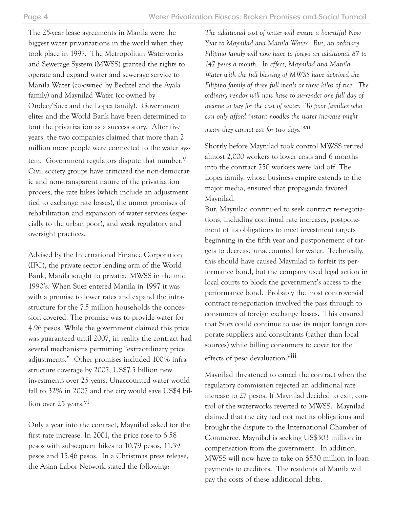The 25-year lease agreements in Manila were the biggest water privatizations in the world when they took place in 1997. The Metropolitan Waterworks and Sewerage System (MWSS) granted the rights to operate and expand water and sewerage service to Manila Water (co-owned by Bechtel and the Ayala family) and Maynilad Water (co-owned by Ondeo/Suez and the Lopez family). Government elites and the World Bank have been determined to tout the privatization as a success story. After five years, the two companies claimed that more than 2 million more people were connected to the water sys-

tem. Government regulators dispute that number. $V$ Civil society groups have criticized the non-democratic and non-transparent nature of the privatization process, the rate hikes (which include an adjustment tied to exchange rate losses), the unmet promises of rehabilitation and expansion of water services (especially to the urban poor), and weak regulatory and oversight practices.

Advised by the International Finance Corporation (IFC), the private sector lending arm of the World Bank, Manila sought to privatize MWSS in the mid 1990's. When Suez entered Manila in 1997 it was with a promise to lower rates and expand the infrastructure for the 7.5 million households the concession covered. The promise was to provide water for 4.96 pesos. While the government claimed this price was guaranteed until 2007, in reality the contract had several mechanisms permitting "extraordinary price adjustments." Other promises included 100% infrastructure coverage by 2007, US\$7.5 billion new investments over 25 years. Unaccounted water would fall to 32% in 2007 and the city would save US\$4 billion over 25 years.<sup>vi</sup>

Only a year into the contract, Maynilad asked for the first rate increase. In 2001, the price rose to 6.58 pesos with subsequent hikes to 10.79 pesos, 11.39 pesos and 15.46 pesos. In a Christmas press release, the Asian Labor Network stated the following:

*The additional cost of water will ensure a bountiful New Year to Maynilad and Manila Water. But, an ordinary Filipino family will now have to forego an additional 87 to 147 pesos a month. In effect, Maynilad and Manila Water with the full blessing of MWSS have deprived the Filipino family of three full meals or three kilos of rice. The ordinary vendor will now have to surrender one full day of income to pay for the cost of water. To poor families who can only afford instant noodles the water increase might mean they cannot eat for two days."vii*

Shortly before Maynilad took control MWSS retired almost 2,000 workers to lower costs and 6 months into the contract 750 workers were laid off. The Lopez family, whose business empire extends to the major media, ensured that propaganda favored Maynilad.

But, Maynilad continued to seek contract re-negotiations, including continual rate increases, postponement of its obligations to meet investment targets beginning in the fifth year and postponement of targets to decrease unaccounted for water. Technically, this should have caused Maynilad to forfeit its performance bond, but the company used legal action in local courts to block the government's access to the performance bond. Probably the most controversial contract re-negotiation involved the pass through to consumers of foreign exchange losses. This ensured that Suez could continue to use its major foreign corporate suppliers and consultants (rather than local sources) while billing consumers to cover for the effects of peso devaluation.viii

Maynilad threatened to cancel the contract when the regulatory commission rejected an additional rate increase to 27 pesos. If Maynilad decided to exit, control of the waterworks reverted to MWSS. Maynilad claimed that the city had not met its obligations and brought the dispute to the International Chamber of Commerce. Maynilad is seeking US\$303 million in compensation from the government. In addition, MWSS will now have to take on \$530 million in loan payments to creditors. The residents of Manila will pay the costs of these additional debts.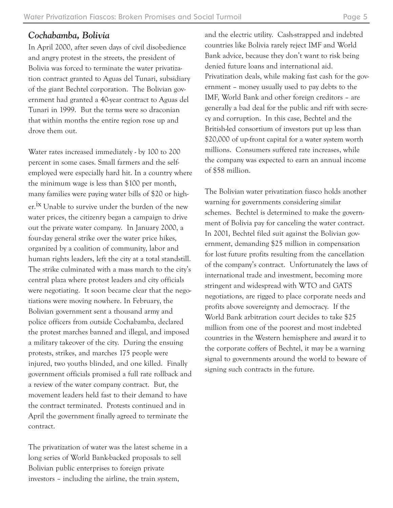#### *Cochabamba, Bolivia*

In April 2000, after seven days of civil disobedience and angry protest in the streets, the president of Bolivia was forced to terminate the water privatization contract granted to Aguas del Tunari, subsidiary of the giant Bechtel corporation. The Bolivian government had granted a 40-year contract to Aguas del Tunari in 1999. But the terms were so draconian that within months the entire region rose up and drove them out.

Water rates increased immediately - by 100 to 200 percent in some cases. Small farmers and the selfemployed were especially hard hit. In a country where the minimum wage is less than \$100 per month, many families were paying water bills of \$20 or higher.<sup>ix</sup> Unable to survive under the burden of the new water prices, the citizenry began a campaign to drive out the private water company. In January 2000, a four-day general strike over the water price hikes, organized by a coalition of community, labor and human rights leaders, left the city at a total standstill. The strike culminated with a mass march to the city's central plaza where protest leaders and city officials were negotiating. It soon became clear that the negotiations were moving nowhere. In February, the Bolivian government sent a thousand army and police officers from outside Cochabamba, declared the protest marches banned and illegal, and imposed a military takeover of the city. During the ensuing protests, strikes, and marches 175 people were injured, two youths blinded, and one killed. Finally government officials promised a full rate rollback and a review of the water company contract. But, the movement leaders held fast to their demand to have the contract terminated. Protests continued and in April the government finally agreed to terminate the contract.

The privatization of water was the latest scheme in a long series of World Bank-backed proposals to sell Bolivian public enterprises to foreign private investors – including the airline, the train system,

and the electric utility. Cash-strapped and indebted countries like Bolivia rarely reject IMF and World Bank advice, because they don't want to risk being denied future loans and international aid. Privatization deals, while making fast cash for the government – money usually used to pay debts to the IMF, World Bank and other foreign creditors – are generally a bad deal for the public and rift with secrecy and corruption. In this case, Bechtel and the British-led consortium of investors put up less than \$20,000 of up-front capital for a water system worth millions. Consumers suffered rate increases, while the company was expected to earn an annual income of \$58 million.

The Bolivian water privatization fiasco holds another warning for governments considering similar schemes. Bechtel is determined to make the government of Bolivia pay for canceling the water contract. In 2001, Bechtel filed suit against the Bolivian government, demanding \$25 million in compensation for lost future profits resulting from the cancellation of the company's contract. Unfortunately the laws of international trade and investment, becoming more stringent and widespread with WTO and GATS negotiations, are rigged to place corporate needs and profits above sovereignty and democracy. If the World Bank arbitration court decides to take \$25 million from one of the poorest and most indebted countries in the Western hemisphere and award it to the corporate coffers of Bechtel, it may be a warning signal to governments around the world to beware of signing such contracts in the future.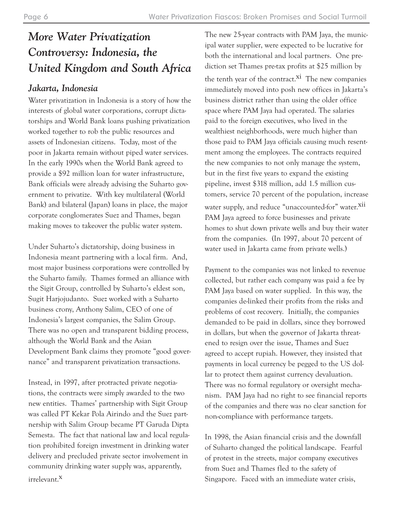# *More Water Privatization Controversy: Indonesia, the United Kingdom and South Africa*

### *Jakarta, Indonesia*

Water privatization in Indonesia is a story of how the interests of global water corporations, corrupt dictatorships and World Bank loans pushing privatization worked together to rob the public resources and assets of Indonesian citizens. Today, most of the poor in Jakarta remain without piped water services. In the early 1990s when the World Bank agreed to provide a \$92 million loan for water infrastructure, Bank officials were already advising the Suharto government to privatize. With key multilateral (World Bank) and bilateral (Japan) loans in place, the major corporate conglomerates Suez and Thames, began making moves to takeover the public water system.

Under Suharto's dictatorship, doing business in Indonesia meant partnering with a local firm. And, most major business corporations were controlled by the Suharto family. Thames formed an alliance with the Sigit Group, controlled by Suharto's eldest son, Sugit Harjojudanto. Suez worked with a Suharto business crony, Anthony Salim, CEO of one of Indonesia's largest companies, the Salim Group. There was no open and transparent bidding process, although the World Bank and the Asian Development Bank claims they promote "good governance" and transparent privatization transactions.

Instead, in 1997, after protracted private negotiations, the contracts were simply awarded to the two new entities. Thames' partnership with Sigit Group was called PT Kekar Pola Airindo and the Suez partnership with Salim Group became PT Garuda Dipta Semesta. The fact that national law and local regulation prohibited foreign investment in drinking water delivery and precluded private sector involvement in community drinking water supply was, apparently, irrelevant.x

The new 25-year contracts with PAM Jaya, the municipal water supplier, were expected to be lucrative for both the international and local partners. One prediction set Thames pre-tax profits at \$25 million by the tenth year of the contract.<sup>xi</sup> The new companies immediately moved into posh new offices in Jakarta's business district rather than using the older office space where PAM Jaya had operated. The salaries paid to the foreign executives, who lived in the wealthiest neighborhoods, were much higher than those paid to PAM Jaya officials causing much resentment among the employees. The contracts required the new companies to not only manage the system, but in the first five years to expand the existing pipeline, invest \$318 million, add 1.5 million customers, service 70 percent of the population, increase water supply, and reduce "unaccounted-for" water.<sup>xii</sup> PAM Jaya agreed to force businesses and private homes to shut down private wells and buy their water from the companies. (In 1997, about 70 percent of water used in Jakarta came from private wells.)

Payment to the companies was not linked to revenue collected, but rather each company was paid a fee by PAM Jaya based on water supplied. In this way, the companies de-linked their profits from the risks and problems of cost recovery. Initially, the companies demanded to be paid in dollars, since they borrowed in dollars, but when the governor of Jakarta threatened to resign over the issue, Thames and Suez agreed to accept rupiah. However, they insisted that payments in local currency be pegged to the US dollar to protect them against currency devaluation. There was no formal regulatory or oversight mechanism. PAM Jaya had no right to see financial reports of the companies and there was no clear sanction for non-compliance with performance targets.

In 1998, the Asian financial crisis and the downfall of Suharto changed the political landscape. Fearful of protest in the streets, major company executives from Suez and Thames fled to the safety of Singapore. Faced with an immediate water crisis,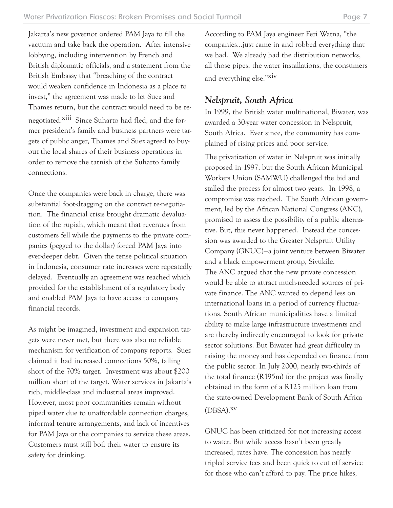Jakarta's new governor ordered PAM Jaya to fill the vacuum and take back the operation. After intensive lobbying, including intervention by French and British diplomatic officials, and a statement from the British Embassy that "breaching of the contract would weaken confidence in Indonesia as a place to invest," the agreement was made to let Suez and Thames return, but the contract would need to be renegotiated.<sup>Xiii</sup> Since Suharto had fled, and the former president's family and business partners were targets of public anger, Thames and Suez agreed to buyout the local shares of their business operations in order to remove the tarnish of the Suharto family connections.

Once the companies were back in charge, there was substantial foot-dragging on the contract re-negotiation. The financial crisis brought dramatic devaluation of the rupiah, which meant that revenues from customers fell while the payments to the private companies (pegged to the dollar) forced PAM Jaya into ever-deeper debt. Given the tense political situation in Indonesia, consumer rate increases were repeatedly delayed. Eventually an agreement was reached which provided for the establishment of a regulatory body and enabled PAM Jaya to have access to company financial records.

As might be imagined, investment and expansion targets were never met, but there was also no reliable mechanism for verification of company reports. Suez claimed it had increased connections 50%, falling short of the 70% target. Investment was about \$200 million short of the target. Water services in Jakarta's rich, middle-class and industrial areas improved. However, most poor communities remain without piped water due to unaffordable connection charges, informal tenure arrangements, and lack of incentives for PAM Jaya or the companies to service these areas. Customers must still boil their water to ensure its safety for drinking.

According to PAM Jaya engineer Feri Watna, "the companies…just came in and robbed everything that we had. We already had the distribution networks, all those pipes, the water installations, the consumers and everything else."xiv

#### *Nelspruit, South Africa*

In 1999, the British water multinational, Biwater, was awarded a 30-year water concession in Nelspruit, South Africa. Ever since, the community has complained of rising prices and poor service.

The privatization of water in Nelspruit was initially proposed in 1997, but the South African Municipal Workers Union (SAMWU) challenged the bid and stalled the process for almost two years. In 1998, a compromise was reached. The South African government, led by the African National Congress (ANC), promised to assess the possibility of a public alternative. But, this never happened. Instead the concession was awarded to the Greater Nelspruit Utility Company (GNUC)—a joint venture between Biwater and a black empowerment group, Sivukile. The ANC argued that the new private concession would be able to attract much-needed sources of private finance. The ANC wanted to depend less on international loans in a period of currency fluctuations. South African municipalities have a limited ability to make large infrastructure investments and are thereby indirectly encouraged to look for private sector solutions. But Biwater had great difficulty in raising the money and has depended on finance from the public sector. In July 2000, nearly two-thirds of the total finance (R195m) for the project was finally obtained in the form of a R125 million loan from the state-owned Development Bank of South Africa (DBSA).xv

GNUC has been criticized for not increasing access to water. But while access hasn't been greatly increased, rates have. The concession has nearly tripled service fees and been quick to cut off service for those who can't afford to pay. The price hikes,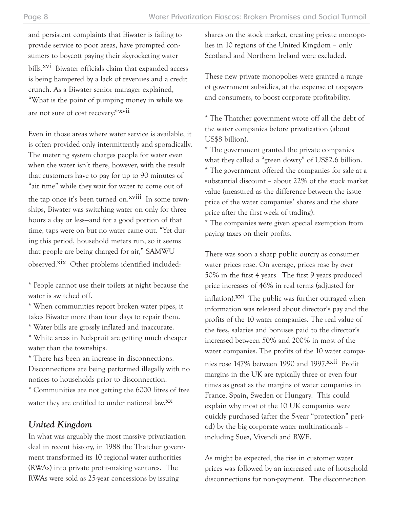and persistent complaints that Biwater is failing to provide service to poor areas, have prompted consumers to boycott paying their skyrocketing water bills.<sup>XVI</sup> Biwater officials claim that expanded access is being hampered by a lack of revenues and a credit crunch. As a Biwater senior manager explained, "What is the point of pumping money in while we are not sure of cost recovery?"xvii

Even in those areas where water service is available, it is often provided only intermittently and sporadically. The metering system charges people for water even when the water isn't there, however, with the result that customers have to pay for up to 90 minutes of "air time" while they wait for water to come out of the tap once it's been turned on.<sup>Xviii</sup> In some townships, Biwater was switching water on only for three hours a day or less—and for a good portion of that time, taps were on but no water came out. "Yet during this period, household meters run, so it seems that people are being charged for air," SAMWU observed.xix Other problems identified included:

\* People cannot use their toilets at night because the water is switched off.

\* When communities report broken water pipes, it takes Biwater more than four days to repair them.

\* Water bills are grossly inflated and inaccurate.

\* White areas in Nelspruit are getting much cheaper water than the townships.

\* There has been an increase in disconnections. Disconnections are being performed illegally with no notices to households prior to disconnection.

\* Communities are not getting the 6000 litres of free water they are entitled to under national law.<sup>XX</sup>

#### *United Kingdom*

In what was arguably the most massive privatization deal in recent history, in 1988 the Thatcher government transformed its 10 regional water authorities (RWAs) into private profit-making ventures. The RWAs were sold as 25-year concessions by issuing

shares on the stock market, creating private monopolies in 10 regions of the United Kingdom – only Scotland and Northern Ireland were excluded.

These new private monopolies were granted a range of government subsidies, at the expense of taxpayers and consumers, to boost corporate profitability.

\* The Thatcher government wrote off all the debt of the water companies before privatization (about US\$8 billion).

\* The government granted the private companies what they called a "green dowry" of US\$2.6 billion. \* The government offered the companies for sale at a substantial discount – about 22% of the stock market value (measured as the difference between the issue price of the water companies' shares and the share price after the first week of trading).

\* The companies were given special exemption from paying taxes on their profits.

There was soon a sharp public outcry as consumer water prices rose. On average, prices rose by over 50% in the first 4 years. The first 9 years produced price increases of 46% in real terms (adjusted for inflation).<sup>XXI</sup> The public was further outraged when information was released about director's pay and the profits of the 10 water companies. The real value of the fees, salaries and bonuses paid to the director's increased between 50% and 200% in most of the water companies. The profits of the 10 water compa-

nies rose 147% between 1990 and 1997. XXII Profit margins in the UK are typically three or even four times as great as the margins of water companies in France, Spain, Sweden or Hungary. This could explain why most of the 10 UK companies were quickly purchased (after the 5-year "protection" period) by the big corporate water multinationals – including Suez, Vivendi and RWE.

As might be expected, the rise in customer water prices was followed by an increased rate of household disconnections for non-payment. The disconnection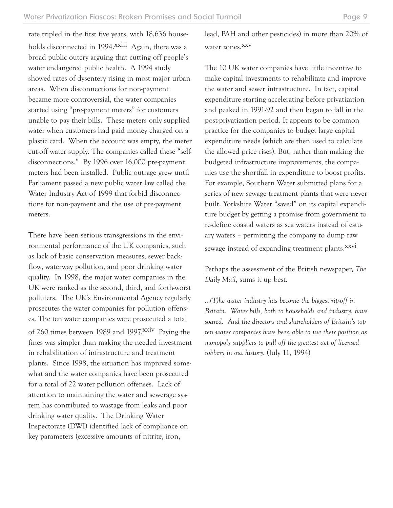rate tripled in the first five years, with 18,636 households disconnected in 1994.<sup>xxiii</sup> Again, there was a broad public outcry arguing that cutting off people's water endangered public health. A 1994 study showed rates of dysentery rising in most major urban areas. When disconnections for non-payment became more controversial, the water companies started using "pre-payment meters" for customers unable to pay their bills. These meters only supplied water when customers had paid money charged on a plastic card. When the account was empty, the meter cut-off water supply. The companies called these "selfdisconnections." By 1996 over 16,000 pre-payment meters had been installed. Public outrage grew until Parliament passed a new public water law called the Water Industry Act of 1999 that forbid disconnections for non-payment and the use of pre-payment meters.

There have been serious transgressions in the environmental performance of the UK companies, such as lack of basic conservation measures, sewer backflow, waterway pollution, and poor drinking water quality. In 1998, the major water companies in the UK were ranked as the second, third, and forth-worst polluters. The UK's Environmental Agency regularly prosecutes the water companies for pollution offenses. The ten water companies were prosecuted a total of 260 times between 1989 and 1997.<sup>XXIV</sup> Paying the fines was simpler than making the needed investment in rehabilitation of infrastructure and treatment plants. Since 1998, the situation has improved somewhat and the water companies have been prosecuted for a total of 22 water pollution offenses. Lack of attention to maintaining the water and sewerage system has contributed to wastage from leaks and poor drinking water quality. The Drinking Water Inspectorate (DWI) identified lack of compliance on key parameters (excessive amounts of nitrite, iron,

lead, PAH and other pesticides) in more than 20% of water zones.<sup>XXV</sup>

The 10 UK water companies have little incentive to make capital investments to rehabilitate and improve the water and sewer infrastructure. In fact, capital expenditure starting accelerating before privatization and peaked in 1991-92 and then began to fall in the post-privatization period. It appears to be common practice for the companies to budget large capital expenditure needs (which are then used to calculate the allowed price rises). But, rather than making the budgeted infrastructure improvements, the companies use the shortfall in expenditure to boost profits. For example, Southern Water submitted plans for a series of new sewage treatment plants that were never built. Yorkshire Water "saved" on its capital expenditure budget by getting a promise from government to re-define coastal waters as sea waters instead of estuary waters – permitting the company to dump raw sewage instead of expanding treatment plants.<sup>XXVI</sup>

Perhaps the assessment of the British newspaper, *The Daily Mail*, sums it up best.

*…(T)he water industry has become the biggest rip-off in Britain. Water bills, both to households and industry, have soared. And the directors and shareholders of Britain's top ten water companies have been able to use their position as monopoly suppliers to pull off the greatest act of licensed robbery in out history.* (July 11, 1994)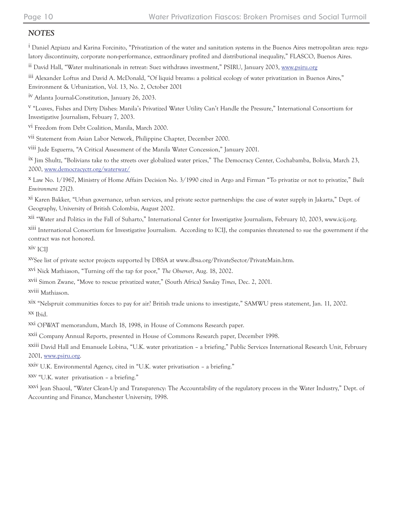#### *NOTES*

<sup>i</sup> Daniel Azpiazu and Karina Forcinito, "Privatization of the water and sanitation systems in the Buenos Aires metropolitan area: regulatory discontinuity, corporate non-performance, extraordinary profited and distributional inequality," FLASCO, Buenos Aires.

ii David Hall, "Water multinationals in retreat: Suez withdraws investment," PSIRU, January 2003, www.psiru.org

iii Alexander Loftus and David A. McDonald, "Of liquid breams: a political ecology of water privatization in Buenos Aires,"

Environment & Urbanization, Vol. 13, No. 2, October 2001

iv Atlanta Journal-Constitution, January 26, 2003.

v "Loaves, Fishes and Dirty Dishes: Manila's Privatized Water Utility Can't Handle the Pressure," International Consortium for Investigative Journalism, Febuary 7, 2003.

vi Freedom from Debt Coalition, Manila, March 2000.

vii Statement from Asian Labor Network, Philippine Chapter, December 2000.

viii Jude Esguerra, "A Critical Assessment of the Manila Water Concession," January 2001.

ix Jim Shultz, "Bolivians take to the streets over globalized water prices," The Democracy Center, Cochabamba, Bolivia, March 23, 2000, www.democracyctr.org/waterwar/

x Law No. 1/1967, Ministry of Home Affairs Decision No. 3/1990 cited in Argo and Firman "To privatize or not to privatize," *Built Environment* 27(2).

xi Karen Bakker, "Urban governance, urban services, and private sector partnerships: the case of water supply in Jakarta," Dept. of Geography, University of British Colombia, August 2002.

xii "Water and Politics in the Fall of Suharto," International Center for Investigative Journalism, February 10, 2003, www.icij.org.

xiii International Consortium for Investigative Journalism. According to ICIJ, the companies threatened to sue the government if the contract was not honored.

xiv ICIJ

xvSee list of private sector projects supported by DBSA at www.dbsa.org/PrivateSector/PrivateMain.htm.

xvi Nick Mathiason, "Turning off the tap for poor," *The Observer*, Aug. 18, 2002.

xvii Simon Zwane, "Move to rescue privatized water," (South Africa) *Sunday Times*, Dec. 2, 2001.

xviii Mathiason.

xix "Nelspruit communities forces to pay for air? British trade unions to investigate," SAMWU press statement, Jan. 11, 2002. xx Ibid.

xxi OFWAT memorandum, March 18, 1998, in House of Commons Research paper.

xxii Company Annual Reports, presented in House of Commons Research paper, December 1998.

xxiii David Hall and Emanuele Lobina, "U.K. water privatization – a briefing," Public Services International Research Unit, February 2001, www.psiru.org.

xxiv U.K. Environmental Agency, cited in "U.K. water privatisation – a briefing."

xxv "U.K. water privatisation – a briefing."

xxvi Jean Shaoul, "Water Clean-Up and Transparency: The Accountability of the regulatory process in the Water Industry," Dept. of Accounting and Finance, Manchester University, 1998.